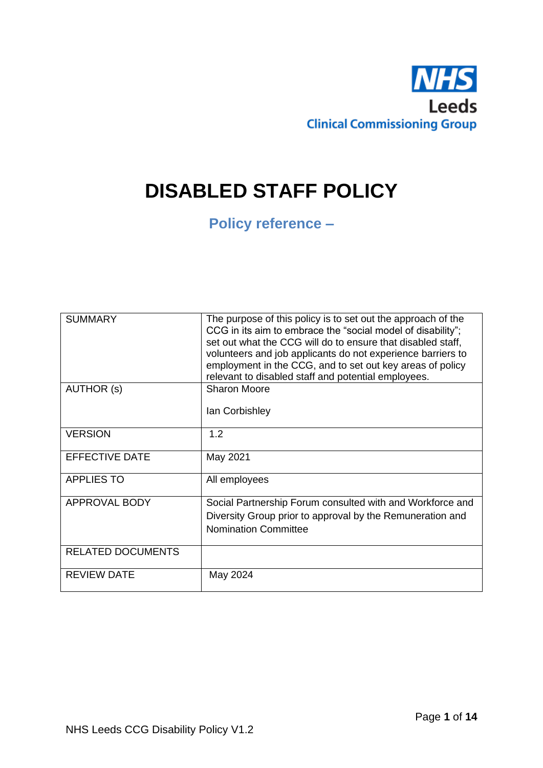

# **DISABLED STAFF POLICY**

## **Policy reference –**

| <b>SUMMARY</b>           | The purpose of this policy is to set out the approach of the<br>CCG in its aim to embrace the "social model of disability";<br>set out what the CCG will do to ensure that disabled staff,<br>volunteers and job applicants do not experience barriers to<br>employment in the CCG, and to set out key areas of policy<br>relevant to disabled staff and potential employees. |
|--------------------------|-------------------------------------------------------------------------------------------------------------------------------------------------------------------------------------------------------------------------------------------------------------------------------------------------------------------------------------------------------------------------------|
| AUTHOR (s)               | <b>Sharon Moore</b><br>lan Corbishley                                                                                                                                                                                                                                                                                                                                         |
| <b>VERSION</b>           | 1.2                                                                                                                                                                                                                                                                                                                                                                           |
| <b>EFFECTIVE DATE</b>    | May 2021                                                                                                                                                                                                                                                                                                                                                                      |
| <b>APPLIES TO</b>        | All employees                                                                                                                                                                                                                                                                                                                                                                 |
| APPROVAL BODY            | Social Partnership Forum consulted with and Workforce and<br>Diversity Group prior to approval by the Remuneration and<br><b>Nomination Committee</b>                                                                                                                                                                                                                         |
| <b>RELATED DOCUMENTS</b> |                                                                                                                                                                                                                                                                                                                                                                               |
| <b>REVIEW DATE</b>       | May 2024                                                                                                                                                                                                                                                                                                                                                                      |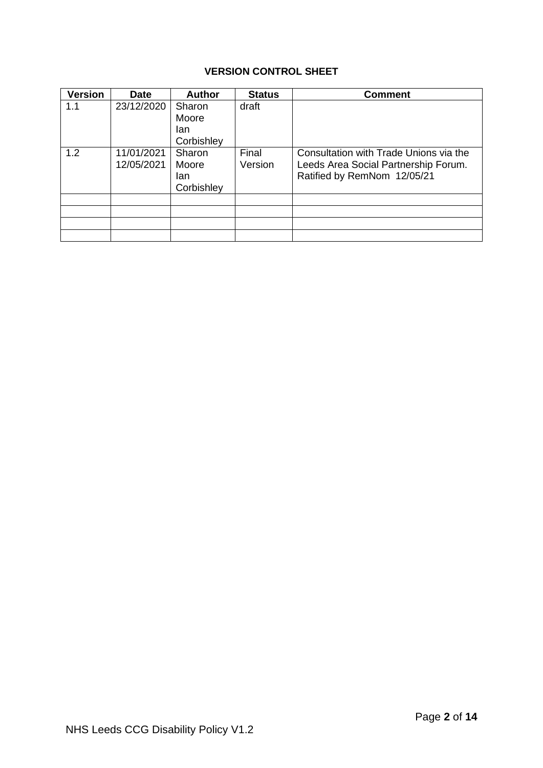## **VERSION CONTROL SHEET**

| <b>Version</b> | <b>Date</b>              | <b>Author</b>                        | <b>Status</b>    | <b>Comment</b>                                                                                                |
|----------------|--------------------------|--------------------------------------|------------------|---------------------------------------------------------------------------------------------------------------|
| 1.1            | 23/12/2020               | Sharon                               | draft            |                                                                                                               |
|                |                          | Moore                                |                  |                                                                                                               |
|                |                          | lan<br>Corbishley                    |                  |                                                                                                               |
| 1.2            | 11/01/2021<br>12/05/2021 | Sharon<br>Moore<br>lan<br>Corbishley | Final<br>Version | Consultation with Trade Unions via the<br>Leeds Area Social Partnership Forum.<br>Ratified by RemNom 12/05/21 |
|                |                          |                                      |                  |                                                                                                               |
|                |                          |                                      |                  |                                                                                                               |
|                |                          |                                      |                  |                                                                                                               |
|                |                          |                                      |                  |                                                                                                               |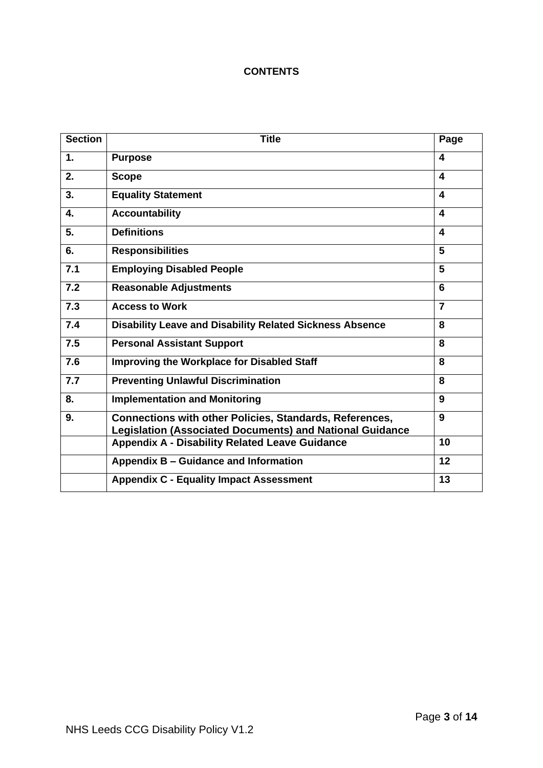## **CONTENTS**

| <b>Section</b> | <b>Title</b>                                                                                                                      | Page           |
|----------------|-----------------------------------------------------------------------------------------------------------------------------------|----------------|
| $\mathbf 1$ .  | <b>Purpose</b>                                                                                                                    | 4              |
| 2.             | <b>Scope</b>                                                                                                                      | 4              |
| 3.             | <b>Equality Statement</b>                                                                                                         | 4              |
| 4.             | <b>Accountability</b>                                                                                                             | 4              |
| 5.             | <b>Definitions</b>                                                                                                                | 4              |
| 6.             | <b>Responsibilities</b>                                                                                                           | 5              |
| 7.1            | <b>Employing Disabled People</b>                                                                                                  | 5              |
| 7.2            | <b>Reasonable Adjustments</b>                                                                                                     | 6              |
| 7.3            | <b>Access to Work</b>                                                                                                             | $\overline{7}$ |
| 7.4            | <b>Disability Leave and Disability Related Sickness Absence</b>                                                                   | 8              |
| 7.5            | <b>Personal Assistant Support</b>                                                                                                 | 8              |
| 7.6            | <b>Improving the Workplace for Disabled Staff</b>                                                                                 | 8              |
| 7.7            | <b>Preventing Unlawful Discrimination</b>                                                                                         | 8              |
| 8.             | <b>Implementation and Monitoring</b>                                                                                              | 9              |
| 9.             | <b>Connections with other Policies, Standards, References,</b><br><b>Legislation (Associated Documents) and National Guidance</b> | 9              |
|                | <b>Appendix A - Disability Related Leave Guidance</b>                                                                             | 10             |
|                | Appendix B - Guidance and Information                                                                                             | 12             |
|                | <b>Appendix C - Equality Impact Assessment</b>                                                                                    | 13             |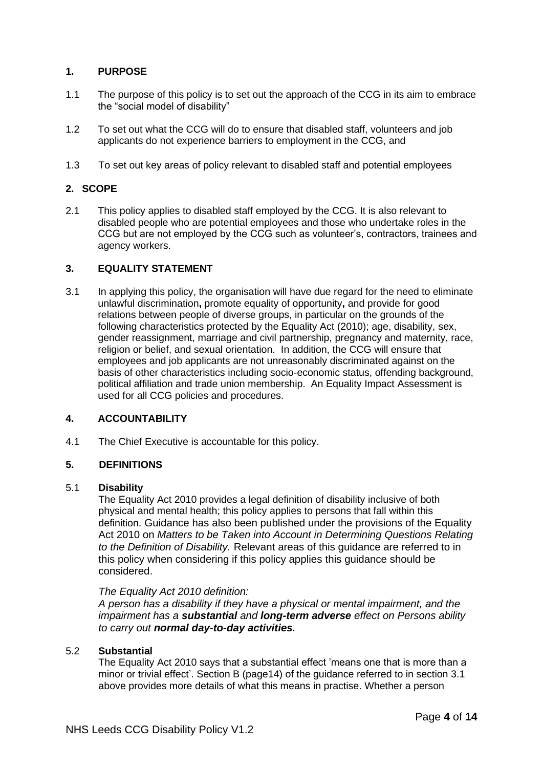## **1. PURPOSE**

- 1.1 The purpose of this policy is to set out the approach of the CCG in its aim to embrace the "social model of disability"
- 1.2 To set out what the CCG will do to ensure that disabled staff, volunteers and job applicants do not experience barriers to employment in the CCG, and
- 1.3 To set out key areas of policy relevant to disabled staff and potential employees

## **2. SCOPE**

2.1 This policy applies to disabled staff employed by the CCG. It is also relevant to disabled people who are potential employees and those who undertake roles in the CCG but are not employed by the CCG such as volunteer's, contractors, trainees and agency workers.

## **3. EQUALITY STATEMENT**

3.1 In applying this policy, the organisation will have due regard for the need to eliminate unlawful discrimination**,** promote equality of opportunity**,** and provide for good relations between people of diverse groups, in particular on the grounds of the following characteristics protected by the Equality Act (2010); age, disability, sex, gender reassignment, marriage and civil partnership, pregnancy and maternity, race, religion or belief, and sexual orientation. In addition, the CCG will ensure that employees and job applicants are not unreasonably discriminated against on the basis of other characteristics including socio-economic status, offending background, political affiliation and trade union membership. An Equality Impact Assessment is used for all CCG policies and procedures.

## **4. ACCOUNTABILITY**

4.1 The Chief Executive is accountable for this policy.

#### **5. DEFINITIONS**

#### 5.1 **Disability**

The Equality Act 2010 provides a legal definition of disability inclusive of both physical and mental health; this policy applies to persons that fall within this definition. Guidance has also been published under the provisions of the Equality Act 2010 on *Matters to be Taken into Account in Determining Questions Relating to the Definition of Disability.* Relevant areas of this guidance are referred to in this policy when considering if this policy applies this guidance should be considered.

#### *The Equality Act 2010 definition:*

*A person has a disability if they have a physical or mental impairment, and the impairment has a substantial and long-term adverse effect on Persons ability to carry out normal day-to-day activities.*

#### 5.2 **Substantial**

The Equality Act 2010 says that a substantial effect 'means one that is more than a minor or trivial effect'. Section B (page14) of the guidance referred to in section 3.1 above provides more details of what this means in practise. Whether a person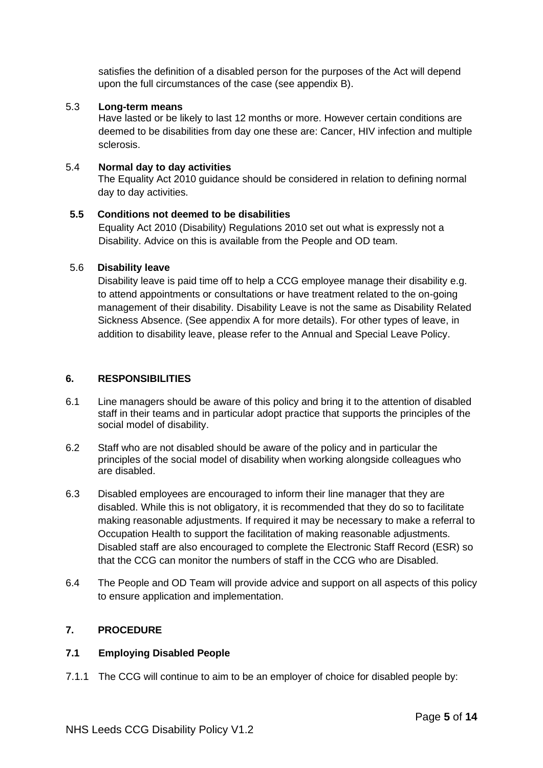satisfies the definition of a disabled person for the purposes of the Act will depend upon the full circumstances of the case (see appendix B).

## 5.3 **Long-term means**

Have lasted or be likely to last 12 months or more. However certain conditions are deemed to be disabilities from day one these are: Cancer, HIV infection and multiple sclerosis.

## 5.4 **Normal day to day activities**

The Equality Act 2010 guidance should be considered in relation to defining normal day to day activities.

## **5.5 Conditions not deemed to be disabilities**

Equality Act 2010 (Disability) Regulations 2010 set out what is expressly not a Disability. Advice on this is available from the People and OD team.

## 5.6 **Disability leave**

Disability leave is paid time off to help a CCG employee manage their disability e.g. to attend appointments or consultations or have treatment related to the on-going management of their disability. Disability Leave is not the same as Disability Related Sickness Absence. (See appendix A for more details). For other types of leave, in addition to disability leave, please refer to the Annual and Special Leave Policy.

## **6. RESPONSIBILITIES**

- 6.1 Line managers should be aware of this policy and bring it to the attention of disabled staff in their teams and in particular adopt practice that supports the principles of the social model of disability.
- 6.2 Staff who are not disabled should be aware of the policy and in particular the principles of the social model of disability when working alongside colleagues who are disabled.
- 6.3 Disabled employees are encouraged to inform their line manager that they are disabled. While this is not obligatory, it is recommended that they do so to facilitate making reasonable adjustments. If required it may be necessary to make a referral to Occupation Health to support the facilitation of making reasonable adjustments. Disabled staff are also encouraged to complete the Electronic Staff Record (ESR) so that the CCG can monitor the numbers of staff in the CCG who are Disabled.
- 6.4 The People and OD Team will provide advice and support on all aspects of this policy to ensure application and implementation.

## **7. PROCEDURE**

#### **7.1 Employing Disabled People**

7.1.1 The CCG will continue to aim to be an employer of choice for disabled people by: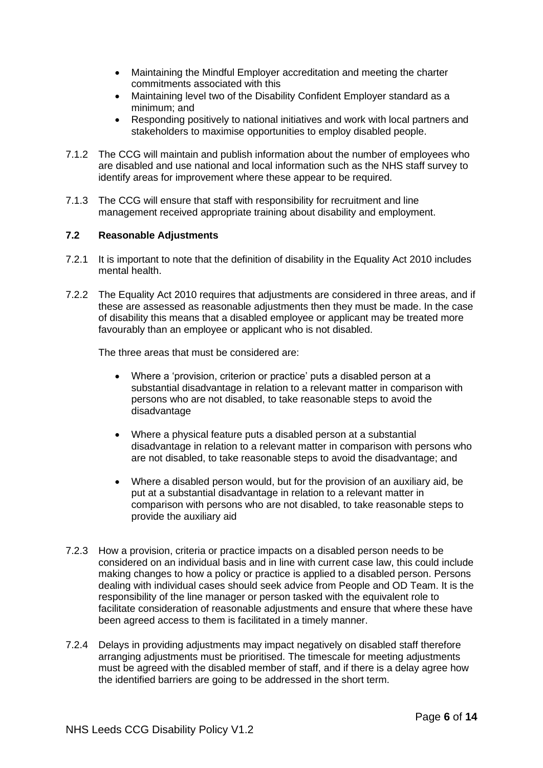- Maintaining the Mindful Employer accreditation and meeting the charter commitments associated with this
- Maintaining level two of the Disability Confident Employer standard as a minimum; and
- Responding positively to national initiatives and work with local partners and stakeholders to maximise opportunities to employ disabled people.
- 7.1.2 The CCG will maintain and publish information about the number of employees who are disabled and use national and local information such as the NHS staff survey to identify areas for improvement where these appear to be required.
- 7.1.3 The CCG will ensure that staff with responsibility for recruitment and line management received appropriate training about disability and employment.

## **7.2 Reasonable Adjustments**

- 7.2.1 It is important to note that the definition of disability in the Equality Act 2010 includes mental health.
- 7.2.2 The Equality Act 2010 requires that adjustments are considered in three areas, and if these are assessed as reasonable adjustments then they must be made. In the case of disability this means that a disabled employee or applicant may be treated more favourably than an employee or applicant who is not disabled.

The three areas that must be considered are:

- Where a 'provision, criterion or practice' puts a disabled person at a substantial disadvantage in relation to a relevant matter in comparison with persons who are not disabled, to take reasonable steps to avoid the disadvantage
- Where a physical feature puts a disabled person at a substantial disadvantage in relation to a relevant matter in comparison with persons who are not disabled, to take reasonable steps to avoid the disadvantage; and
- Where a disabled person would, but for the provision of an auxiliary aid, be put at a substantial disadvantage in relation to a relevant matter in comparison with persons who are not disabled, to take reasonable steps to provide the auxiliary aid
- 7.2.3 How a provision, criteria or practice impacts on a disabled person needs to be considered on an individual basis and in line with current case law, this could include making changes to how a policy or practice is applied to a disabled person. Persons dealing with individual cases should seek advice from People and OD Team. It is the responsibility of the line manager or person tasked with the equivalent role to facilitate consideration of reasonable adjustments and ensure that where these have been agreed access to them is facilitated in a timely manner.
- 7.2.4 Delays in providing adjustments may impact negatively on disabled staff therefore arranging adjustments must be prioritised. The timescale for meeting adjustments must be agreed with the disabled member of staff, and if there is a delay agree how the identified barriers are going to be addressed in the short term.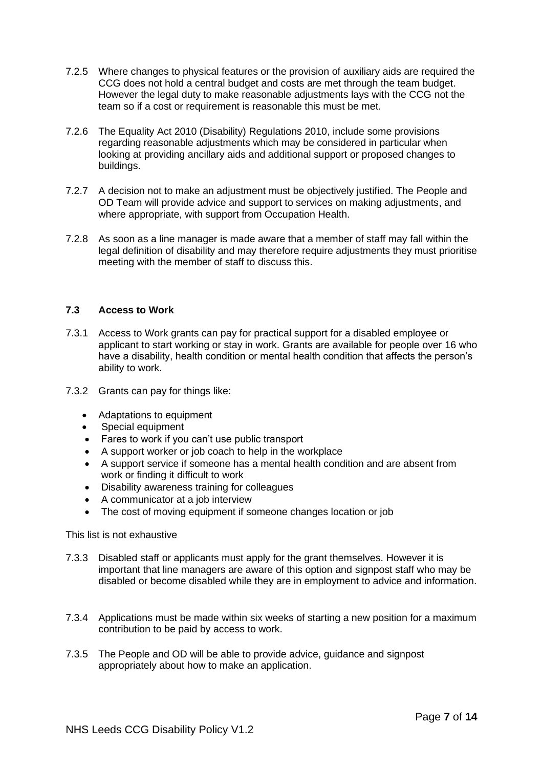- 7.2.5 Where changes to physical features or the provision of auxiliary aids are required the CCG does not hold a central budget and costs are met through the team budget. However the legal duty to make reasonable adjustments lays with the CCG not the team so if a cost or requirement is reasonable this must be met.
- 7.2.6 The Equality Act 2010 (Disability) Regulations 2010, include some provisions regarding reasonable adjustments which may be considered in particular when looking at providing ancillary aids and additional support or proposed changes to buildings.
- 7.2.7 A decision not to make an adjustment must be objectively justified. The People and OD Team will provide advice and support to services on making adjustments, and where appropriate, with support from Occupation Health.
- 7.2.8 As soon as a line manager is made aware that a member of staff may fall within the legal definition of disability and may therefore require adjustments they must prioritise meeting with the member of staff to discuss this.

## **7.3 Access to Work**

- 7.3.1 Access to Work grants can pay for practical support for a disabled employee or applicant to start working or stay in work. Grants are available for people over 16 who have a disability, health condition or mental health condition that affects the person's ability to work.
- 7.3.2 Grants can pay for things like:
	- Adaptations to equipment
	- Special equipment
	- Fares to work if you can't use public transport
	- A support worker or job coach to help in the workplace
	- A support service if someone has a mental health condition and are absent from work or finding it difficult to work
	- Disability awareness training for colleagues
	- A communicator at a job interview
	- The cost of moving equipment if someone changes location or job

## This list is not exhaustive

- 7.3.3 Disabled staff or applicants must apply for the grant themselves. However it is important that line managers are aware of this option and signpost staff who may be disabled or become disabled while they are in employment to advice and information.
- 7.3.4 Applications must be made within six weeks of starting a new position for a maximum contribution to be paid by access to work.
- 7.3.5 The People and OD will be able to provide advice, guidance and signpost appropriately about how to make an application.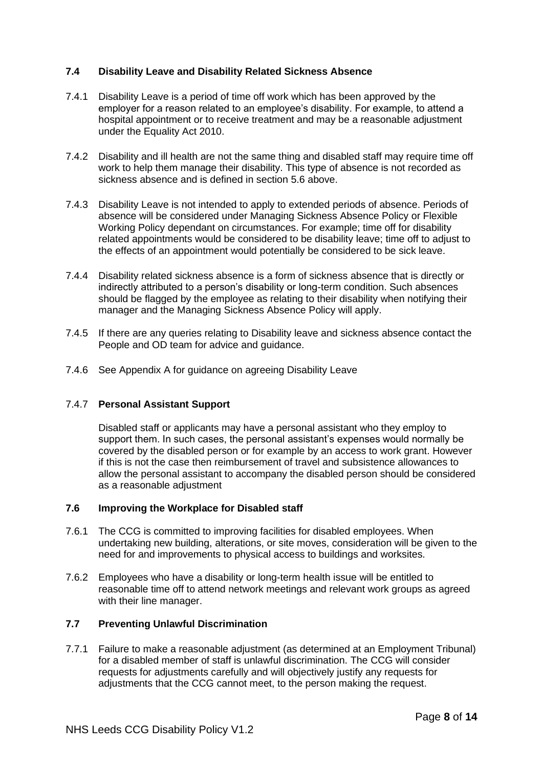## **7.4 Disability Leave and Disability Related Sickness Absence**

- 7.4.1 Disability Leave is a period of time off work which has been approved by the employer for a reason related to an employee's disability. For example, to attend a hospital appointment or to receive treatment and may be a reasonable adjustment under the Equality Act 2010.
- 7.4.2 Disability and ill health are not the same thing and disabled staff may require time off work to help them manage their disability. This type of absence is not recorded as sickness absence and is defined in section 5.6 above.
- 7.4.3 Disability Leave is not intended to apply to extended periods of absence. Periods of absence will be considered under Managing Sickness Absence Policy or Flexible Working Policy dependant on circumstances. For example; time off for disability related appointments would be considered to be disability leave; time off to adjust to the effects of an appointment would potentially be considered to be sick leave.
- 7.4.4 Disability related sickness absence is a form of sickness absence that is directly or indirectly attributed to a person's disability or long-term condition. Such absences should be flagged by the employee as relating to their disability when notifying their manager and the Managing Sickness Absence Policy will apply.
- 7.4.5 If there are any queries relating to Disability leave and sickness absence contact the People and OD team for advice and guidance.
- 7.4.6 See Appendix A for guidance on agreeing Disability Leave

## 7.4.7 **Personal Assistant Support**

Disabled staff or applicants may have a personal assistant who they employ to support them. In such cases, the personal assistant's expenses would normally be covered by the disabled person or for example by an access to work grant. However if this is not the case then reimbursement of travel and subsistence allowances to allow the personal assistant to accompany the disabled person should be considered as a reasonable adjustment

## **7.6 Improving the Workplace for Disabled staff**

- 7.6.1 The CCG is committed to improving facilities for disabled employees. When undertaking new building, alterations, or site moves, consideration will be given to the need for and improvements to physical access to buildings and worksites.
- 7.6.2 Employees who have a disability or long-term health issue will be entitled to reasonable time off to attend network meetings and relevant work groups as agreed with their line manager.

## **7.7 Preventing Unlawful Discrimination**

7.7.1 Failure to make a reasonable adjustment (as determined at an Employment Tribunal) for a disabled member of staff is unlawful discrimination. The CCG will consider requests for adjustments carefully and will objectively justify any requests for adjustments that the CCG cannot meet, to the person making the request.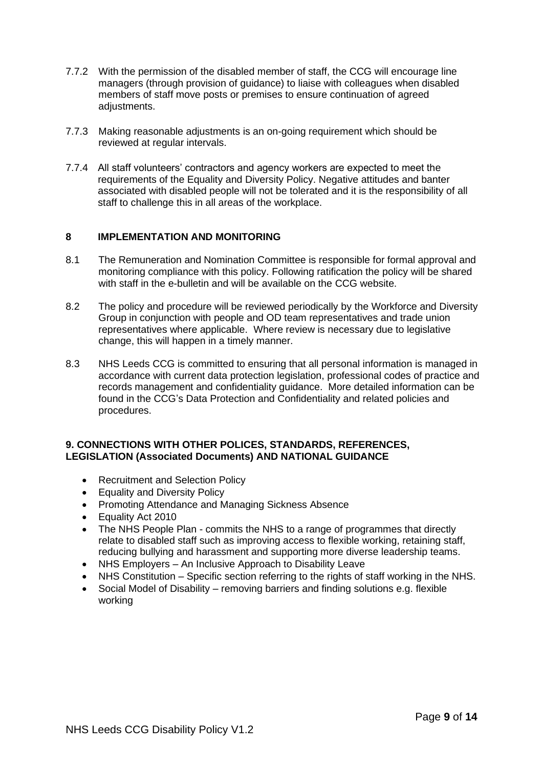- 7.7.2 With the permission of the disabled member of staff, the CCG will encourage line managers (through provision of guidance) to liaise with colleagues when disabled members of staff move posts or premises to ensure continuation of agreed adiustments.
- 7.7.3 Making reasonable adjustments is an on-going requirement which should be reviewed at regular intervals.
- 7.7.4 All staff volunteers' contractors and agency workers are expected to meet the requirements of the Equality and Diversity Policy. Negative attitudes and banter associated with disabled people will not be tolerated and it is the responsibility of all staff to challenge this in all areas of the workplace.

## **8 IMPLEMENTATION AND MONITORING**

- 8.1 The Remuneration and Nomination Committee is responsible for formal approval and monitoring compliance with this policy. Following ratification the policy will be shared with staff in the e-bulletin and will be available on the CCG website.
- 8.2 The policy and procedure will be reviewed periodically by the Workforce and Diversity Group in conjunction with people and OD team representatives and trade union representatives where applicable. Where review is necessary due to legislative change, this will happen in a timely manner.
- 8.3 NHS Leeds CCG is committed to ensuring that all personal information is managed in accordance with current data protection legislation, professional codes of practice and records management and confidentiality guidance. More detailed information can be found in the CCG's Data Protection and Confidentiality and related policies and procedures.

## **9. CONNECTIONS WITH OTHER POLICES, STANDARDS, REFERENCES, LEGISLATION (Associated Documents) AND NATIONAL GUIDANCE**

- Recruitment and Selection Policy
- Equality and Diversity Policy
- Promoting Attendance and Managing Sickness Absence
- Equality Act 2010
- The NHS People Plan commits the NHS to a range of programmes that directly relate to disabled staff such as improving access to flexible working, retaining staff, reducing bullying and harassment and supporting more diverse leadership teams.
- NHS Employers An Inclusive Approach to Disability Leave
- NHS Constitution Specific section referring to the rights of staff working in the NHS.
- Social Model of Disability removing barriers and finding solutions e.g. flexible working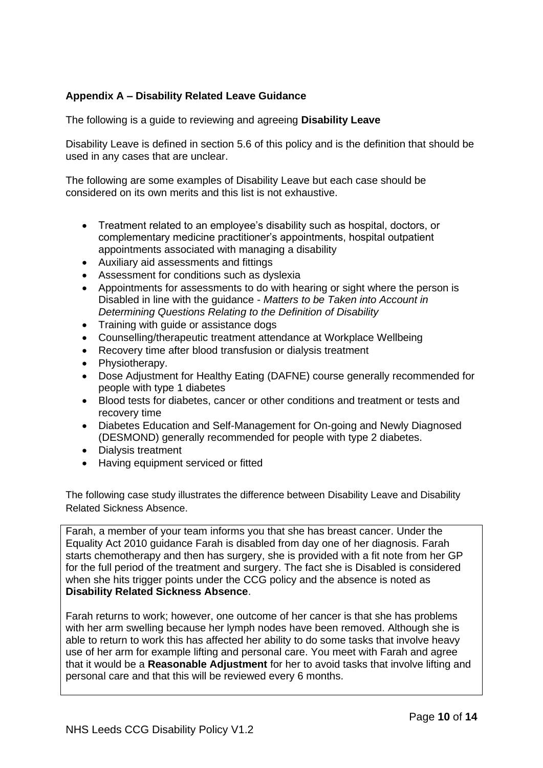## **Appendix A – Disability Related Leave Guidance**

The following is a guide to reviewing and agreeing **Disability Leave**

Disability Leave is defined in section 5.6 of this policy and is the definition that should be used in any cases that are unclear.

The following are some examples of Disability Leave but each case should be considered on its own merits and this list is not exhaustive.

- Treatment related to an employee's disability such as hospital, doctors, or complementary medicine practitioner's appointments, hospital outpatient appointments associated with managing a disability
- Auxiliary aid assessments and fittings
- Assessment for conditions such as dyslexia
- Appointments for assessments to do with hearing or sight where the person is Disabled in line with the guidance - *Matters to be Taken into Account in Determining Questions Relating to the Definition of Disability*
- Training with quide or assistance dogs
- Counselling/therapeutic treatment attendance at Workplace Wellbeing
- Recovery time after blood transfusion or dialysis treatment
- Physiotherapy.
- Dose Adjustment for Healthy Eating (DAFNE) course generally recommended for people with type 1 diabetes
- Blood tests for diabetes, cancer or other conditions and treatment or tests and recovery time
- Diabetes Education and Self-Management for On-going and Newly Diagnosed (DESMOND) generally recommended for people with type 2 diabetes.
- Dialysis treatment
- Having equipment serviced or fitted

The following case study illustrates the difference between Disability Leave and Disability Related Sickness Absence.

Farah, a member of your team informs you that she has breast cancer. Under the Equality Act 2010 guidance Farah is disabled from day one of her diagnosis. Farah starts chemotherapy and then has surgery, she is provided with a fit note from her GP for the full period of the treatment and surgery. The fact she is Disabled is considered when she hits trigger points under the CCG policy and the absence is noted as **Disability Related Sickness Absence**.

Farah returns to work; however, one outcome of her cancer is that she has problems with her arm swelling because her lymph nodes have been removed. Although she is able to return to work this has affected her ability to do some tasks that involve heavy use of her arm for example lifting and personal care. You meet with Farah and agree that it would be a **Reasonable Adjustment** for her to avoid tasks that involve lifting and personal care and that this will be reviewed every 6 months.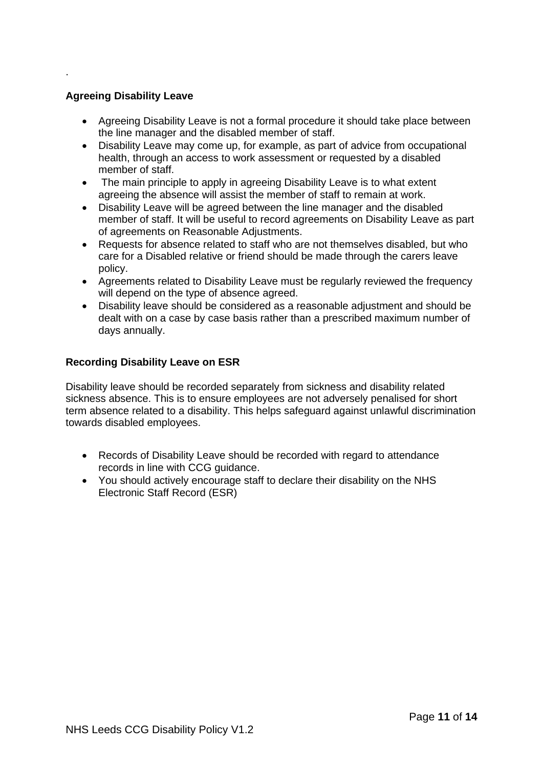## **Agreeing Disability Leave**

.

- Agreeing Disability Leave is not a formal procedure it should take place between the line manager and the disabled member of staff.
- Disability Leave may come up, for example, as part of advice from occupational health, through an access to work assessment or requested by a disabled member of staff.
- The main principle to apply in agreeing Disability Leave is to what extent agreeing the absence will assist the member of staff to remain at work.
- Disability Leave will be agreed between the line manager and the disabled member of staff. It will be useful to record agreements on Disability Leave as part of agreements on Reasonable Adjustments.
- Requests for absence related to staff who are not themselves disabled, but who care for a Disabled relative or friend should be made through the carers leave policy.
- Agreements related to Disability Leave must be regularly reviewed the frequency will depend on the type of absence agreed.
- Disability leave should be considered as a reasonable adjustment and should be dealt with on a case by case basis rather than a prescribed maximum number of days annually.

## **Recording Disability Leave on ESR**

Disability leave should be recorded separately from sickness and disability related sickness absence. This is to ensure employees are not adversely penalised for short term absence related to a disability. This helps safeguard against unlawful discrimination towards disabled employees.

- Records of Disability Leave should be recorded with regard to attendance records in line with CCG guidance.
- You should actively encourage staff to declare their disability on the NHS Electronic Staff Record (ESR)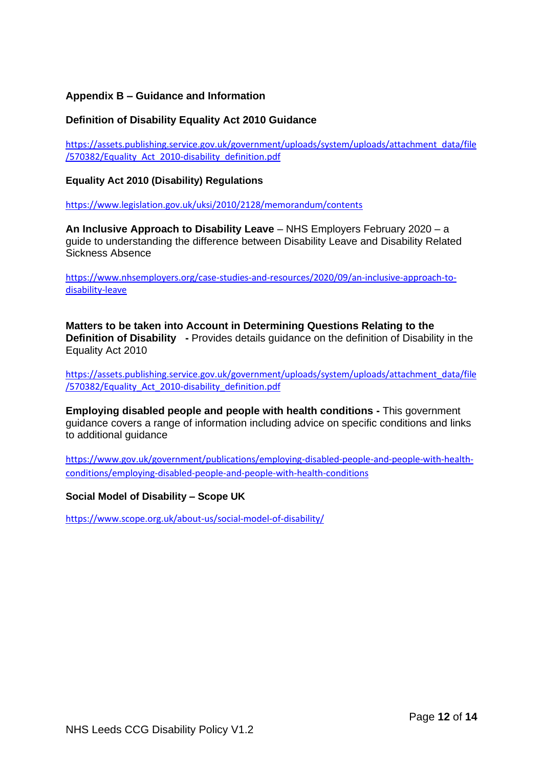## **Appendix B – Guidance and Information**

## **Definition of Disability Equality Act 2010 Guidance**

[https://assets.publishing.service.gov.uk/government/uploads/system/uploads/attachment\\_data/file](https://assets.publishing.service.gov.uk/government/uploads/system/uploads/attachment_data/file/570382/Equality_Act_2010-disability_definition.pdf) [/570382/Equality\\_Act\\_2010-disability\\_definition.pdf](https://assets.publishing.service.gov.uk/government/uploads/system/uploads/attachment_data/file/570382/Equality_Act_2010-disability_definition.pdf)

## **Equality Act 2010 (Disability) Regulations**

<https://www.legislation.gov.uk/uksi/2010/2128/memorandum/contents>

**An Inclusive Approach to Disability Leave** – NHS Employers February 2020 – a guide to understanding the difference between Disability Leave and Disability Related Sickness Absence

[https://www.nhsemployers.org/case-studies-and-resources/2020/09/an-inclusive-approach-to](https://www.nhsemployers.org/case-studies-and-resources/2020/09/an-inclusive-approach-to-disability-leave)[disability-leave](https://www.nhsemployers.org/case-studies-and-resources/2020/09/an-inclusive-approach-to-disability-leave)

**Matters to be taken into Account in Determining Questions Relating to the Definition of Disability -** Provides details guidance on the definition of Disability in the Equality Act 2010

[https://assets.publishing.service.gov.uk/government/uploads/system/uploads/attachment\\_data/file](https://assets.publishing.service.gov.uk/government/uploads/system/uploads/attachment_data/file/570382/Equality_Act_2010-disability_definition.pdf) [/570382/Equality\\_Act\\_2010-disability\\_definition.pdf](https://assets.publishing.service.gov.uk/government/uploads/system/uploads/attachment_data/file/570382/Equality_Act_2010-disability_definition.pdf)

**Employing disabled people and people with health conditions -** This government guidance covers a range of information including advice on specific conditions and links to additional guidance

[https://www.gov.uk/government/publications/employing-disabled-people-and-people-with-health](https://www.gov.uk/government/publications/employing-disabled-people-and-people-with-health-conditions/employing-disabled-people-and-people-with-health-conditions)[conditions/employing-disabled-people-and-people-with-health-conditions](https://www.gov.uk/government/publications/employing-disabled-people-and-people-with-health-conditions/employing-disabled-people-and-people-with-health-conditions)

**Social Model of Disability – Scope UK**

<https://www.scope.org.uk/about-us/social-model-of-disability/>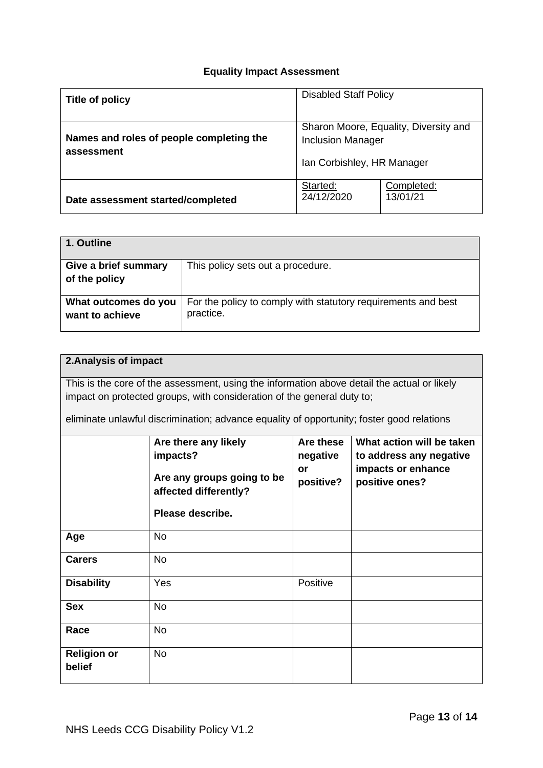## **Equality Impact Assessment**

| Title of policy                                        | <b>Disabled Staff Policy</b>                                                                    |  |
|--------------------------------------------------------|-------------------------------------------------------------------------------------------------|--|
| Names and roles of people completing the<br>assessment | Sharon Moore, Equality, Diversity and<br><b>Inclusion Manager</b><br>Ian Corbishley, HR Manager |  |
| Date assessment started/completed                      | Started:<br>Completed:<br>24/12/2020<br>13/01/21                                                |  |

| 1. Outline                              |                                                                            |
|-----------------------------------------|----------------------------------------------------------------------------|
| Give a brief summary<br>of the policy   | This policy sets out a procedure.                                          |
| What outcomes do you<br>want to achieve | For the policy to comply with statutory requirements and best<br>practice. |

## **2.Analysis of impact**

This is the core of the assessment, using the information above detail the actual or likely impact on protected groups, with consideration of the general duty to;

eliminate unlawful discrimination; advance equality of opportunity; foster good relations

|                              | Are there any likely<br>impacts?<br>Are any groups going to be<br>affected differently?<br>Please describe. | Are these<br>negative<br>or<br>positive? | What action will be taken<br>to address any negative<br>impacts or enhance<br>positive ones? |
|------------------------------|-------------------------------------------------------------------------------------------------------------|------------------------------------------|----------------------------------------------------------------------------------------------|
| Age                          | <b>No</b>                                                                                                   |                                          |                                                                                              |
| <b>Carers</b>                | <b>No</b>                                                                                                   |                                          |                                                                                              |
| <b>Disability</b>            | Yes                                                                                                         | Positive                                 |                                                                                              |
| <b>Sex</b>                   | <b>No</b>                                                                                                   |                                          |                                                                                              |
| Race                         | <b>No</b>                                                                                                   |                                          |                                                                                              |
| <b>Religion or</b><br>belief | <b>No</b>                                                                                                   |                                          |                                                                                              |